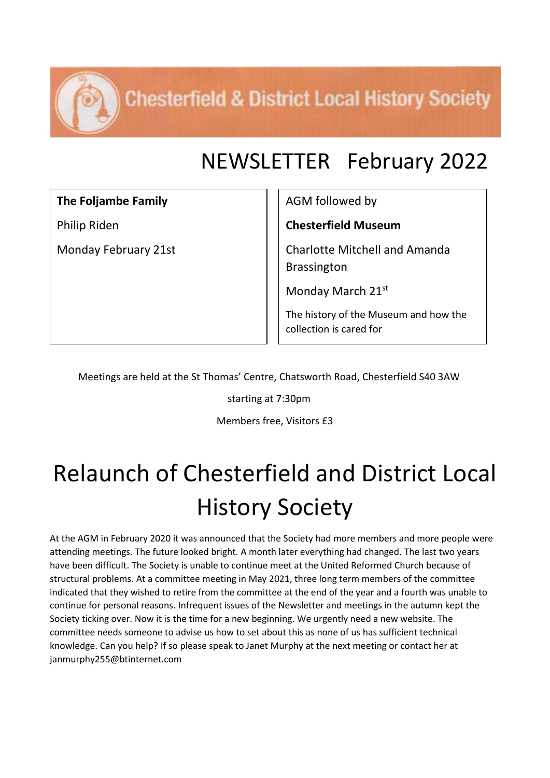**Chesterfield & District Local History Society** 

#### NEWSLETTER February 2022

**The Foljambe Family**

Philip Riden

Monday February 21st

AGM followed by

**Chesterfield Museum**

Charlotte Mitchell and Amanda Brassington

Monday March 21st

The history of the Museum and how the collection is cared for

Meetings are held at the St Thomas' Centre, Chatsworth Road, Chesterfield S40 3AW

starting at 7:30pm

Members free, Visitors £3

# Relaunch of Chesterfield and District Local History Society

At the AGM in February 2020 it was announced that the Society had more members and more people were attending meetings. The future looked bright. A month later everything had changed. The last two years have been difficult. The Society is unable to continue meet at the United Reformed Church because of structural problems. At a committee meeting in May 2021, three long term members of the committee indicated that they wished to retire from the committee at the end of the year and a fourth was unable to continue for personal reasons. Infrequent issues of the Newsletter and meetings in the autumn kept the Society ticking over. Now it is the time for a new beginning. We urgently need a new website. The committee needs someone to advise us how to set about this as none of us has sufficient technical knowledge. Can you help? If so please speak to Janet Murphy at the next meeting or contact her at janmurphy255@btinternet.com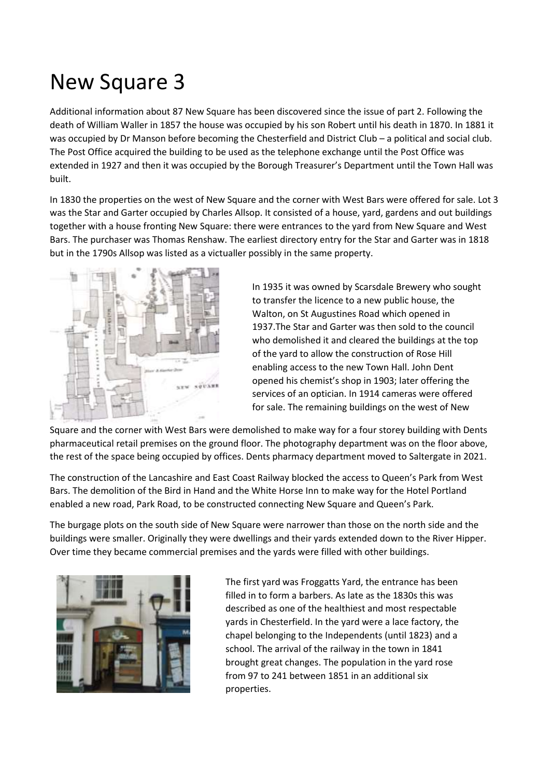## New Square 3

Additional information about 87 New Square has been discovered since the issue of part 2. Following the death of William Waller in 1857 the house was occupied by his son Robert until his death in 1870. In 1881 it was occupied by Dr Manson before becoming the Chesterfield and District Club – a political and social club. The Post Office acquired the building to be used as the telephone exchange until the Post Office was extended in 1927 and then it was occupied by the Borough Treasurer's Department until the Town Hall was built.

In 1830 the properties on the west of New Square and the corner with West Bars were offered for sale. Lot 3 was the Star and Garter occupied by Charles Allsop. It consisted of a house, yard, gardens and out buildings together with a house fronting New Square: there were entrances to the yard from New Square and West Bars. The purchaser was Thomas Renshaw. The earliest directory entry for the Star and Garter was in 1818 but in the 1790s Allsop was listed as a victualler possibly in the same property.



In 1935 it was owned by Scarsdale Brewery who sought to transfer the licence to a new public house, the Walton, on St Augustines Road which opened in 1937.The Star and Garter was then sold to the council who demolished it and cleared the buildings at the top of the yard to allow the construction of Rose Hill enabling access to the new Town Hall. John Dent opened his chemist's shop in 1903; later offering the services of an optician. In 1914 cameras were offered for sale. The remaining buildings on the west of New

Square and the corner with West Bars were demolished to make way for a four storey building with Dents pharmaceutical retail premises on the ground floor. The photography department was on the floor above, the rest of the space being occupied by offices. Dents pharmacy department moved to Saltergate in 2021.

The construction of the Lancashire and East Coast Railway blocked the access to Queen's Park from West Bars. The demolition of the Bird in Hand and the White Horse Inn to make way for the Hotel Portland enabled a new road, Park Road, to be constructed connecting New Square and Queen's Park.

The burgage plots on the south side of New Square were narrower than those on the north side and the buildings were smaller. Originally they were dwellings and their yards extended down to the River Hipper. Over time they became commercial premises and the yards were filled with other buildings.



The first yard was Froggatts Yard, the entrance has been filled in to form a barbers. As late as the 1830s this was described as one of the healthiest and most respectable yards in Chesterfield. In the yard were a lace factory, the chapel belonging to the Independents (until 1823) and a school. The arrival of the railway in the town in 1841 brought great changes. The population in the yard rose from 97 to 241 between 1851 in an additional six properties.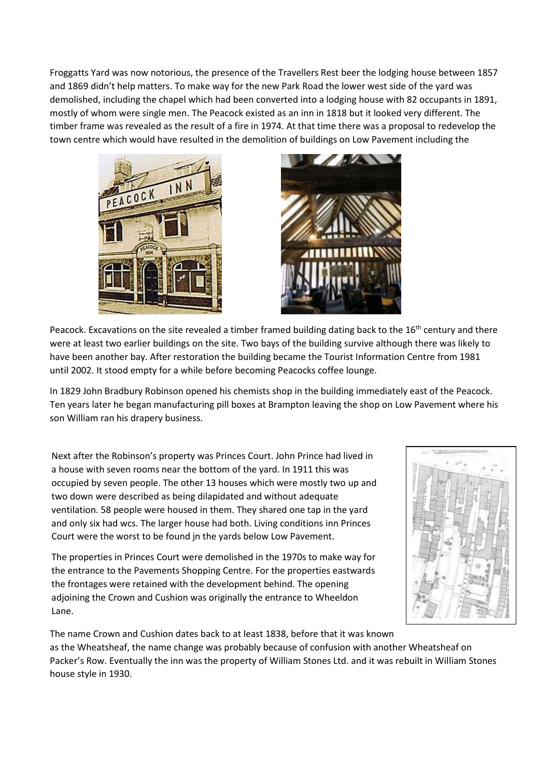Froggatts Yard was now notorious, the presence of the Travellers Rest beer the lodging house between 1857 and 1869 didn't help matters. To make way for the new Park Road the lower west side of the yard was demolished, including the chapel which had been converted into a lodging house with 82 occupants in 1891, mostly of whom were single men. The Peacock existed as an inn in 1818 but it looked very different. The timber frame was revealed as the result of a fire in 1974. At that time there was a proposal to redevelop the town centre which would have resulted in the demolition of buildings on Low Pavement including the





Peacock. Excavations on the site revealed a timber framed building dating back to the 16<sup>th</sup> century and there were at least two earlier buildings on the site. Two bays of the building survive although there was likely to have been another bay. After restoration the building became the Tourist Information Centre from 1981 until 2002. It stood empty for a while before becoming Peacocks coffee lounge.

In 1829 John Bradbury Robinson opened his chemists shop in the building immediately east of the Peacock. Ten years later he began manufacturing pill boxes at Brampton leaving the shop on Low Pavement where his son William ran his drapery business.

Next after the Robinson's property was Princes Court. John Prince had lived in a house with seven rooms near the bottom of the yard. In 1911 this was occupied by seven people. The other 13 houses which were mostly two up and two down were described as being dilapidated and without adequate ventilation. 58 people were housed in them. They shared one tap in the yard and only six had wcs. The larger house had both. Living conditions inn Princes Court were the worst to be found jn the yards below Low Pavement.

The properties in Princes Court were demolished in the 1970s to make way for the entrance to the Pavements Shopping Centre. For the properties eastwards the frontages were retained with the development behind. The opening adjoining the Crown and Cushion was originally the entrance to Wheeldon Lane.



The name Crown and Cushion dates back to at least 1838, before that it was known as the Wheatsheaf, the name change was probably because of confusion with another Wheatsheaf on and the confusion of the contract of the contract of the contract of the contract of the contract of the contract of the contr Packer's Row. Eventually the inn was the property of William Stones Ltd. and it was rebuilt in William Stones house style in 1930.